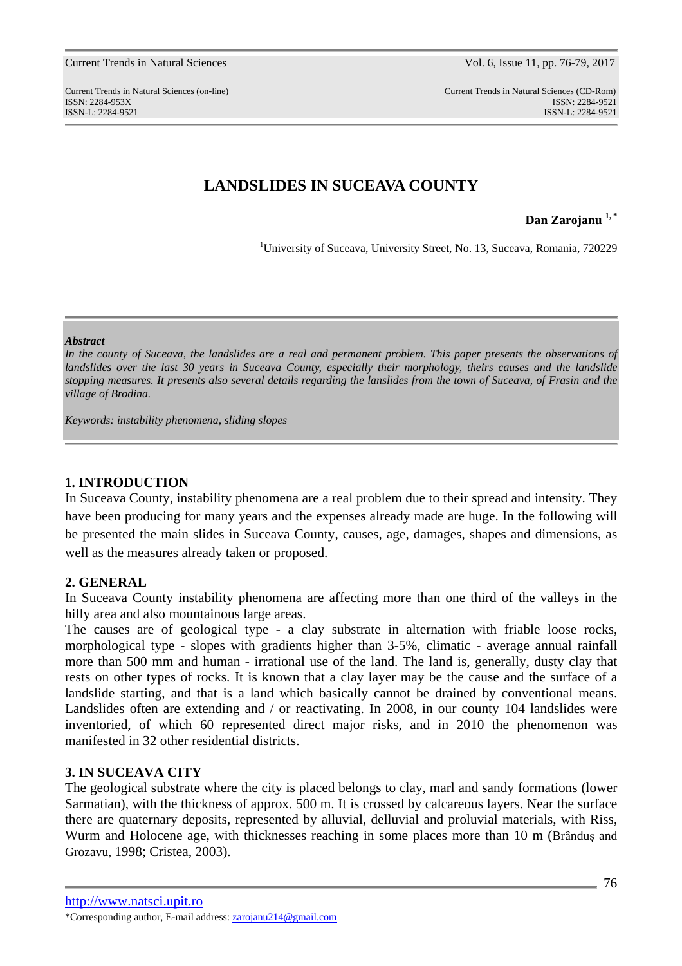#### Current Trends in Natural Sciences Vol. 6, Issue 11, pp. 76-79, 2017

# **LANDSLIDES IN SUCEAVA COUNTY**

**Dan Zarojanu 1, \***

<sup>1</sup>University of Suceava, University Street, No. 13, Suceava, Romania, 720229

#### *Abstract*

In the county of Suceava, the landslides are a real and permanent problem. This paper presents the observations of *landslides over the last 30 years in Suceava County, especially their morphology, theirs causes and the landslide stopping measures. It presents also several details regarding the lanslides from the town of Suceava, of Frasin and the village of Brodina.* 

*Keywords: instability phenomena, sliding slopes* 

### **1. INTRODUCTION**

In Suceava County, instability phenomena are a real problem due to their spread and intensity. They have been producing for many years and the expenses already made are huge. In the following will be presented the main slides in Suceava County, causes, age, damages, shapes and dimensions, as well as the measures already taken or proposed.

### **2. GENERAL**

In Suceava County instability phenomena are affecting more than one third of the valleys in the hilly area and also mountainous large areas.

The causes are of geological type - a clay substrate in alternation with friable loose rocks, morphological type - slopes with gradients higher than 3-5%, climatic - average annual rainfall more than 500 mm and human - irrational use of the land. The land is, generally, dusty clay that rests on other types of rocks. It is known that a clay layer may be the cause and the surface of a landslide starting, and that is a land which basically cannot be drained by conventional means. Landslides often are extending and / or reactivating. In 2008, in our county 104 landslides were inventoried, of which 60 represented direct major risks, and in 2010 the phenomenon was manifested in 32 other residential districts.

# **3. IN SUCEAVA CITY**

The geological substrate where the city is placed belongs to clay, marl and sandy formations (lower Sarmatian), with the thickness of approx. 500 m. It is crossed by calcareous layers. Near the surface there are quaternary deposits, represented by alluvial, delluvial and proluvial materials, with Riss, Wurm and Holocene age, with thicknesses reaching in some places more than 10 m (Brânduş and Grozavu, 1998; Cristea, 2003).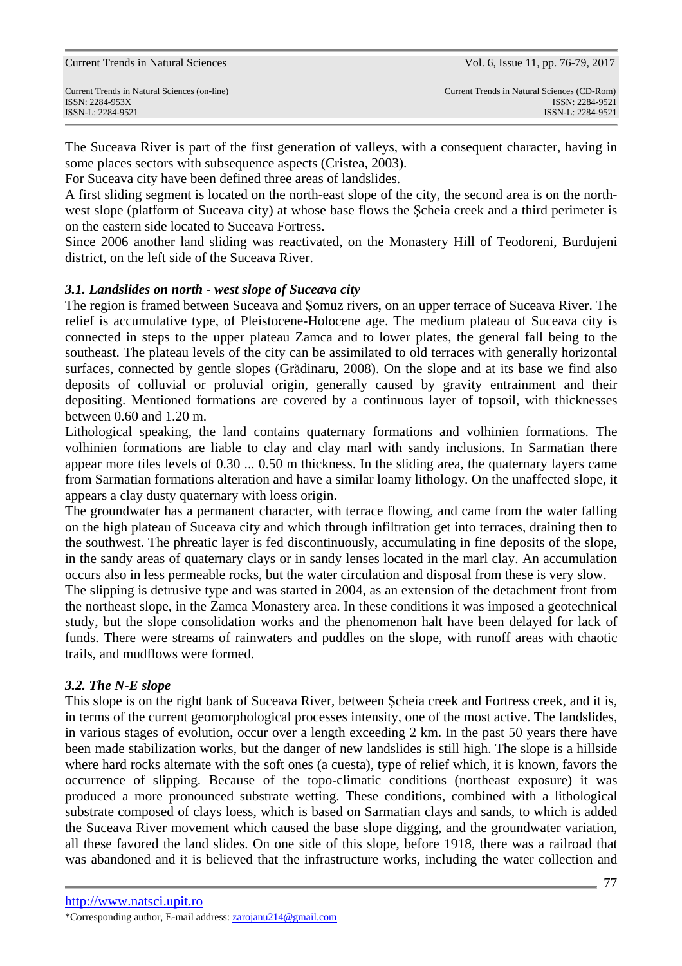ISSN-L: 2284-9521 ISSN-L: 2284-9521

The Suceava River is part of the first generation of valleys, with a consequent character, having in some places sectors with subsequence aspects (Cristea, 2003).

For Suceava city have been defined three areas of landslides.

A first sliding segment is located on the north-east slope of the city, the second area is on the northwest slope (platform of Suceava city) at whose base flows the Şcheia creek and a third perimeter is on the eastern side located to Suceava Fortress.

Since 2006 another land sliding was reactivated, on the Monastery Hill of Teodoreni, Burdujeni district, on the left side of the Suceava River.

# *3.1. Landslides on north - west slope of Suceava city*

The region is framed between Suceava and Şomuz rivers, on an upper terrace of Suceava River. The relief is accumulative type, of Pleistocene-Holocene age. The medium plateau of Suceava city is connected in steps to the upper plateau Zamca and to lower plates, the general fall being to the southeast. The plateau levels of the city can be assimilated to old terraces with generally horizontal surfaces, connected by gentle slopes (Grădinaru, 2008). On the slope and at its base we find also deposits of colluvial or proluvial origin, generally caused by gravity entrainment and their depositing. Mentioned formations are covered by a continuous layer of topsoil, with thicknesses between 0.60 and 1.20 m.

Lithological speaking, the land contains quaternary formations and volhinien formations. The volhinien formations are liable to clay and clay marl with sandy inclusions. In Sarmatian there appear more tiles levels of 0.30 ... 0.50 m thickness. In the sliding area, the quaternary layers came from Sarmatian formations alteration and have a similar loamy lithology. On the unaffected slope, it appears a clay dusty quaternary with loess origin.

The groundwater has a permanent character, with terrace flowing, and came from the water falling on the high plateau of Suceava city and which through infiltration get into terraces, draining then to the southwest. The phreatic layer is fed discontinuously, accumulating in fine deposits of the slope, in the sandy areas of quaternary clays or in sandy lenses located in the marl clay. An accumulation occurs also in less permeable rocks, but the water circulation and disposal from these is very slow.

The slipping is detrusive type and was started in 2004, as an extension of the detachment front from the northeast slope, in the Zamca Monastery area. In these conditions it was imposed a geotechnical study, but the slope consolidation works and the phenomenon halt have been delayed for lack of funds. There were streams of rainwaters and puddles on the slope, with runoff areas with chaotic trails, and mudflows were formed.

# *3.2. The N-E slope*

This slope is on the right bank of Suceava River, between Şcheia creek and Fortress creek, and it is, in terms of the current geomorphological processes intensity, one of the most active. The landslides, in various stages of evolution, occur over a length exceeding 2 km. In the past 50 years there have been made stabilization works, but the danger of new landslides is still high. The slope is a hillside where hard rocks alternate with the soft ones (a cuesta), type of relief which, it is known, favors the occurrence of slipping. Because of the topo-climatic conditions (northeast exposure) it was produced a more pronounced substrate wetting. These conditions, combined with a lithological substrate composed of clays loess, which is based on Sarmatian clays and sands, to which is added the Suceava River movement which caused the base slope digging, and the groundwater variation, all these favored the land slides. On one side of this slope, before 1918, there was a railroad that was abandoned and it is believed that the infrastructure works, including the water collection and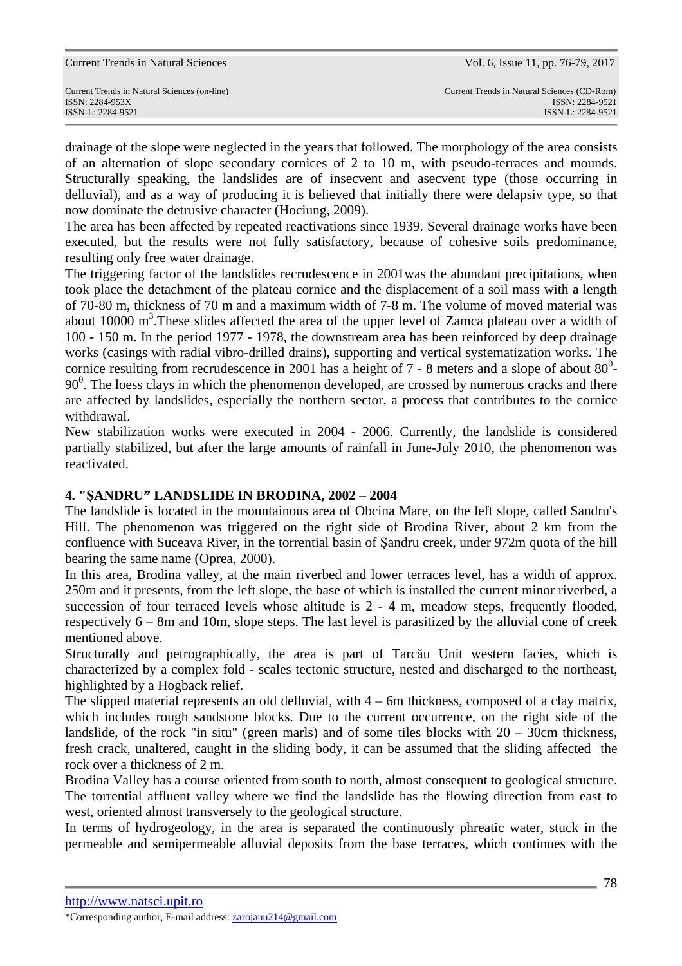|  |  | <b>Current Trends in Natural Sciences</b> |
|--|--|-------------------------------------------|
|--|--|-------------------------------------------|

drainage of the slope were neglected in the years that followed. The morphology of the area consists of an alternation of slope secondary cornices of 2 to 10 m, with pseudo-terraces and mounds. Structurally speaking, the landslides are of insecvent and asecvent type (those occurring in delluvial), and as a way of producing it is believed that initially there were delapsiv type, so that now dominate the detrusive character (Hociung, 2009).

The area has been affected by repeated reactivations since 1939. Several drainage works have been executed, but the results were not fully satisfactory, because of cohesive soils predominance, resulting only free water drainage.

The triggering factor of the landslides recrudescence in 2001was the abundant precipitations, when took place the detachment of the plateau cornice and the displacement of a soil mass with a length of 70-80 m, thickness of 70 m and a maximum width of 7-8 m. The volume of moved material was about 10000  $m<sup>3</sup>$ . These slides affected the area of the upper level of Zamca plateau over a width of 100 - 150 m. In the period 1977 - 1978, the downstream area has been reinforced by deep drainage works (casings with radial vibro-drilled drains), supporting and vertical systematization works. The cornice resulting from recrudescence in 2001 has a height of  $7 - 8$  meters and a slope of about  $80^\circ$ -90<sup>0</sup>. The loess clays in which the phenomenon developed, are crossed by numerous cracks and there are affected by landslides, especially the northern sector, a process that contributes to the cornice withdrawal.

New stabilization works were executed in 2004 - 2006. Currently, the landslide is considered partially stabilized, but after the large amounts of rainfall in June-July 2010, the phenomenon was reactivated.

# **4. "ŞANDRU" LANDSLIDE IN BRODINA, 2002 – 2004**

The landslide is located in the mountainous area of Obcina Mare, on the left slope, called Sandru's Hill. The phenomenon was triggered on the right side of Brodina River, about 2 km from the confluence with Suceava River, in the torrential basin of Şandru creek, under 972m quota of the hill bearing the same name (Oprea, 2000).

In this area, Brodina valley, at the main riverbed and lower terraces level, has a width of approx. 250m and it presents, from the left slope, the base of which is installed the current minor riverbed, a succession of four terraced levels whose altitude is 2 - 4 m, meadow steps, frequently flooded, respectively 6 – 8m and 10m, slope steps. The last level is parasitized by the alluvial cone of creek mentioned above.

Structurally and petrographically, the area is part of Tarcău Unit western facies, which is characterized by a complex fold - scales tectonic structure, nested and discharged to the northeast, highlighted by a Hogback relief.

The slipped material represents an old delluvial, with 4 – 6m thickness, composed of a clay matrix, which includes rough sandstone blocks. Due to the current occurrence, on the right side of the landslide, of the rock "in situ" (green marls) and of some tiles blocks with 20 – 30cm thickness, fresh crack, unaltered, caught in the sliding body, it can be assumed that the sliding affected the rock over a thickness of 2 m.

Brodina Valley has a course oriented from south to north, almost consequent to geological structure. The torrential affluent valley where we find the landslide has the flowing direction from east to west, oriented almost transversely to the geological structure.

In terms of hydrogeology, in the area is separated the continuously phreatic water, stuck in the permeable and semipermeable alluvial deposits from the base terraces, which continues with the